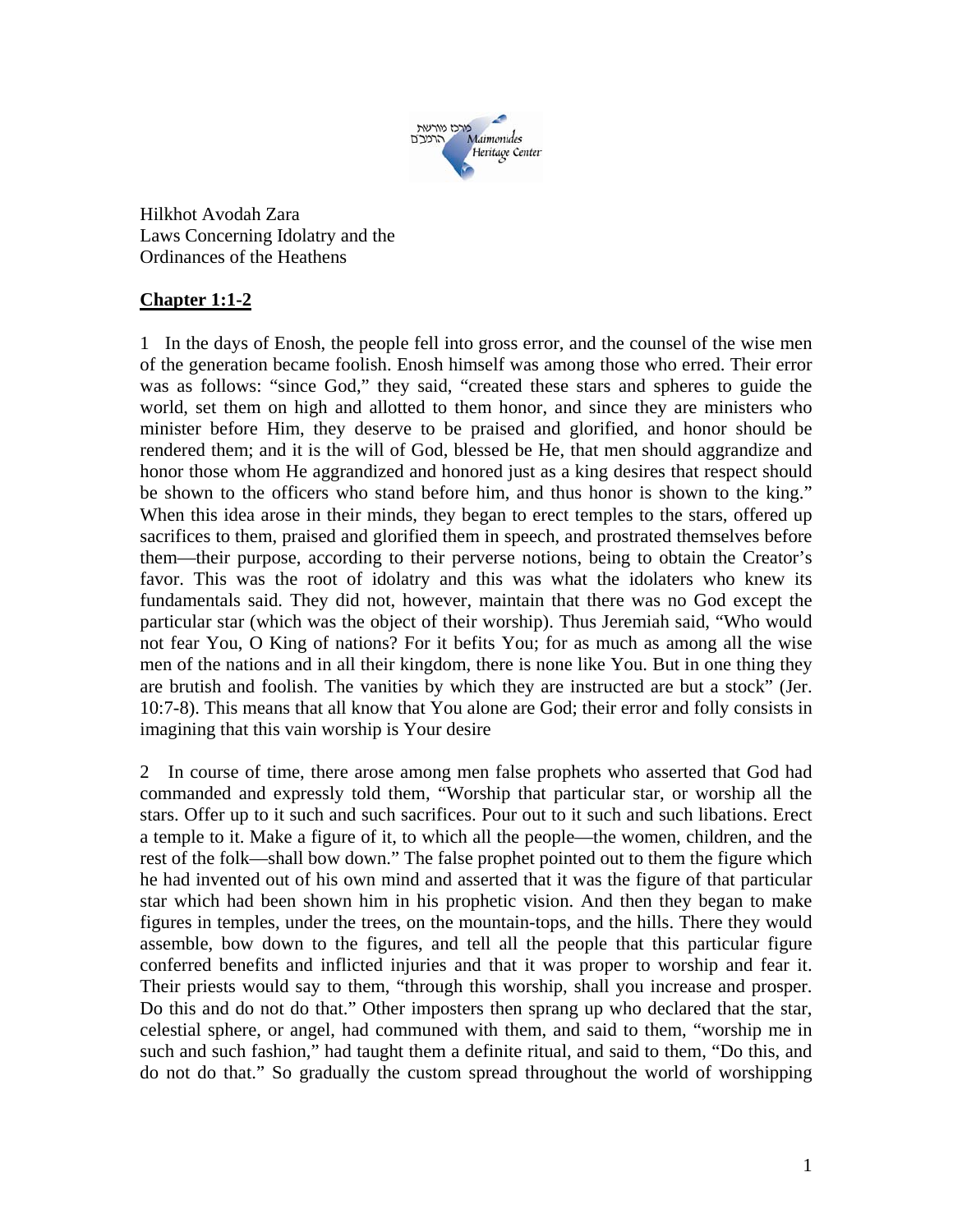

Hilkhot Avodah Zara Laws Concerning Idolatry and the Ordinances of the Heathens

## **Chapter 1:1-2**

1 In the days of Enosh, the people fell into gross error, and the counsel of the wise men of the generation became foolish. Enosh himself was among those who erred. Their error was as follows: "since God," they said, "created these stars and spheres to guide the world, set them on high and allotted to them honor, and since they are ministers who minister before Him, they deserve to be praised and glorified, and honor should be rendered them; and it is the will of God, blessed be He, that men should aggrandize and honor those whom He aggrandized and honored just as a king desires that respect should be shown to the officers who stand before him, and thus honor is shown to the king." When this idea arose in their minds, they began to erect temples to the stars, offered up sacrifices to them, praised and glorified them in speech, and prostrated themselves before them—their purpose, according to their perverse notions, being to obtain the Creator's favor. This was the root of idolatry and this was what the idolaters who knew its fundamentals said. They did not, however, maintain that there was no God except the particular star (which was the object of their worship). Thus Jeremiah said, "Who would not fear You, O King of nations? For it befits You; for as much as among all the wise men of the nations and in all their kingdom, there is none like You. But in one thing they are brutish and foolish. The vanities by which they are instructed are but a stock" (Jer. 10:7-8). This means that all know that You alone are God; their error and folly consists in imagining that this vain worship is Your desire

2 In course of time, there arose among men false prophets who asserted that God had commanded and expressly told them, "Worship that particular star, or worship all the stars. Offer up to it such and such sacrifices. Pour out to it such and such libations. Erect a temple to it. Make a figure of it, to which all the people—the women, children, and the rest of the folk—shall bow down." The false prophet pointed out to them the figure which he had invented out of his own mind and asserted that it was the figure of that particular star which had been shown him in his prophetic vision. And then they began to make figures in temples, under the trees, on the mountain-tops, and the hills. There they would assemble, bow down to the figures, and tell all the people that this particular figure conferred benefits and inflicted injuries and that it was proper to worship and fear it. Their priests would say to them, "through this worship, shall you increase and prosper. Do this and do not do that." Other imposters then sprang up who declared that the star, celestial sphere, or angel, had communed with them, and said to them, "worship me in such and such fashion," had taught them a definite ritual, and said to them, "Do this, and do not do that." So gradually the custom spread throughout the world of worshipping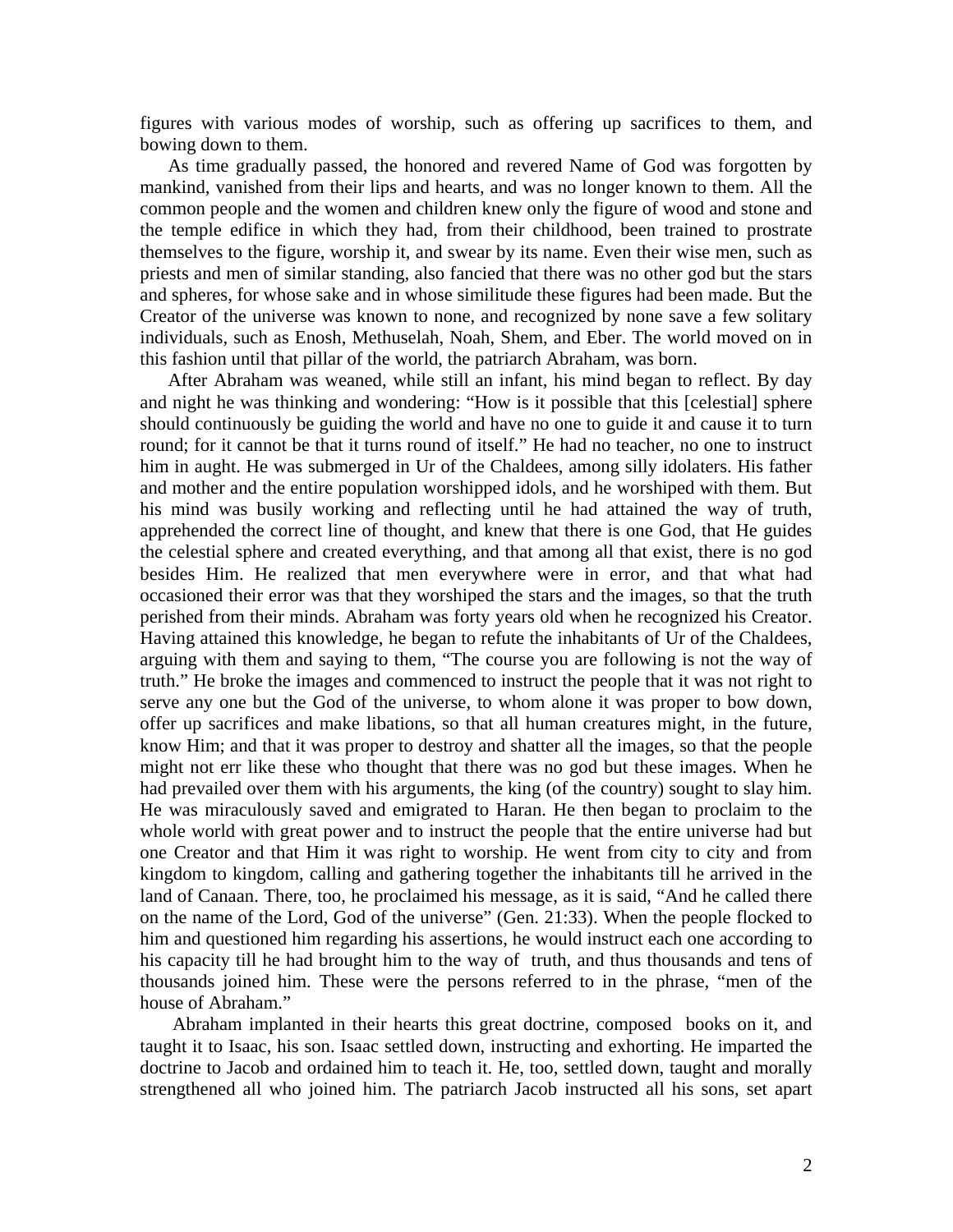figures with various modes of worship, such as offering up sacrifices to them, and bowing down to them.

 As time gradually passed, the honored and revered Name of God was forgotten by mankind, vanished from their lips and hearts, and was no longer known to them. All the common people and the women and children knew only the figure of wood and stone and the temple edifice in which they had, from their childhood, been trained to prostrate themselves to the figure, worship it, and swear by its name. Even their wise men, such as priests and men of similar standing, also fancied that there was no other god but the stars and spheres, for whose sake and in whose similitude these figures had been made. But the Creator of the universe was known to none, and recognized by none save a few solitary individuals, such as Enosh, Methuselah, Noah, Shem, and Eber. The world moved on in this fashion until that pillar of the world, the patriarch Abraham, was born.

 After Abraham was weaned, while still an infant, his mind began to reflect. By day and night he was thinking and wondering: "How is it possible that this [celestial] sphere should continuously be guiding the world and have no one to guide it and cause it to turn round; for it cannot be that it turns round of itself." He had no teacher, no one to instruct him in aught. He was submerged in Ur of the Chaldees, among silly idolaters. His father and mother and the entire population worshipped idols, and he worshiped with them. But his mind was busily working and reflecting until he had attained the way of truth, apprehended the correct line of thought, and knew that there is one God, that He guides the celestial sphere and created everything, and that among all that exist, there is no god besides Him. He realized that men everywhere were in error, and that what had occasioned their error was that they worshiped the stars and the images, so that the truth perished from their minds. Abraham was forty years old when he recognized his Creator. Having attained this knowledge, he began to refute the inhabitants of Ur of the Chaldees, arguing with them and saying to them, "The course you are following is not the way of truth." He broke the images and commenced to instruct the people that it was not right to serve any one but the God of the universe, to whom alone it was proper to bow down, offer up sacrifices and make libations, so that all human creatures might, in the future, know Him; and that it was proper to destroy and shatter all the images, so that the people might not err like these who thought that there was no god but these images. When he had prevailed over them with his arguments, the king (of the country) sought to slay him. He was miraculously saved and emigrated to Haran. He then began to proclaim to the whole world with great power and to instruct the people that the entire universe had but one Creator and that Him it was right to worship. He went from city to city and from kingdom to kingdom, calling and gathering together the inhabitants till he arrived in the land of Canaan. There, too, he proclaimed his message, as it is said, "And he called there on the name of the Lord, God of the universe" (Gen. 21:33). When the people flocked to him and questioned him regarding his assertions, he would instruct each one according to his capacity till he had brought him to the way of truth, and thus thousands and tens of thousands joined him. These were the persons referred to in the phrase, "men of the house of Abraham."

 Abraham implanted in their hearts this great doctrine, composed books on it, and taught it to Isaac, his son. Isaac settled down, instructing and exhorting. He imparted the doctrine to Jacob and ordained him to teach it. He, too, settled down, taught and morally strengthened all who joined him. The patriarch Jacob instructed all his sons, set apart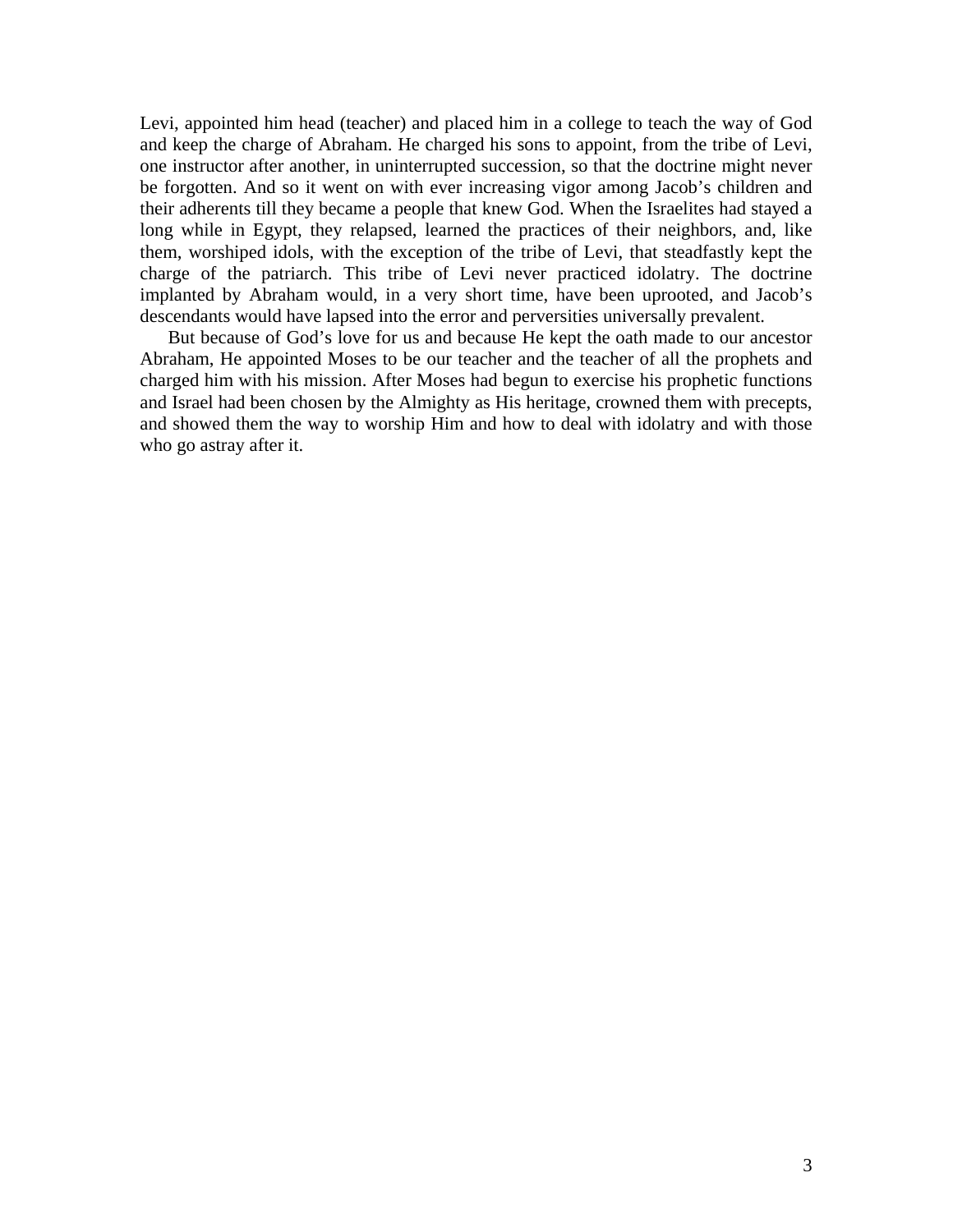Levi, appointed him head (teacher) and placed him in a college to teach the way of God and keep the charge of Abraham. He charged his sons to appoint, from the tribe of Levi, one instructor after another, in uninterrupted succession, so that the doctrine might never be forgotten. And so it went on with ever increasing vigor among Jacob's children and their adherents till they became a people that knew God. When the Israelites had stayed a long while in Egypt, they relapsed, learned the practices of their neighbors, and, like them, worshiped idols, with the exception of the tribe of Levi, that steadfastly kept the charge of the patriarch. This tribe of Levi never practiced idolatry. The doctrine implanted by Abraham would, in a very short time, have been uprooted, and Jacob's descendants would have lapsed into the error and perversities universally prevalent.

 But because of God's love for us and because He kept the oath made to our ancestor Abraham, He appointed Moses to be our teacher and the teacher of all the prophets and charged him with his mission. After Moses had begun to exercise his prophetic functions and Israel had been chosen by the Almighty as His heritage, crowned them with precepts, and showed them the way to worship Him and how to deal with idolatry and with those who go astray after it.